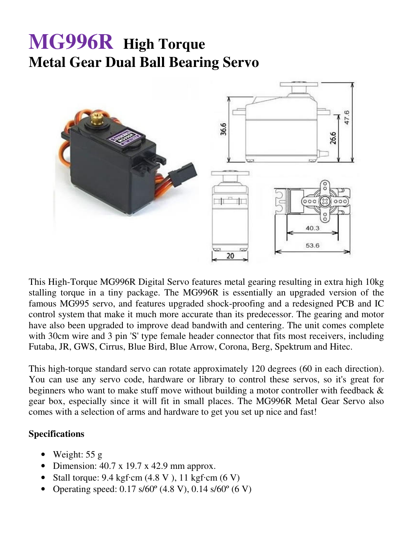## **MG996R High Torque Metal Gear Dual Ball Bearing Servo**



This High-Torque MG996R Digital Servo features metal gearing resulting in extra high 10kg stalling torque in a tiny package. The MG996R is essentially an upgraded version of the famous MG995 servo, and features upgraded shock-proofing and a redesigned PCB and IC control system that make it much more accurate than its predecessor. The gearing and motor have also been upgraded to improve dead bandwith and centering. The unit comes complete with 30cm wire and 3 pin 'S' type female header connector that fits most receivers, including Futaba, JR, GWS, Cirrus, Blue Bird, Blue Arrow, Corona, Berg, Spektrum and Hitec.

This high-torque standard servo can rotate approximately 120 degrees (60 in each direction). You can use any servo code, hardware or library to control these servos, so it's great for beginners who want to make stuff move without building a motor controller with feedback & gear box, especially since it will fit in small places. The MG996R Metal Gear Servo also comes with a selection of arms and hardware to get you set up nice and fast!

## **Specifications**

- Weight: 55 g
- Dimension:  $40.7 \times 19.7 \times 42.9 \text{ mm}$  approx.
- Stall torque:  $9.4 \text{ kgf} \cdot \text{cm}$  (4.8 V), 11 kgf $\cdot \text{cm}$  (6 V)
- Operating speed:  $0.17 \frac{\text{s}}{60^\circ}$  (4.8 V),  $0.14 \frac{\text{s}}{60^\circ}$  (6 V)